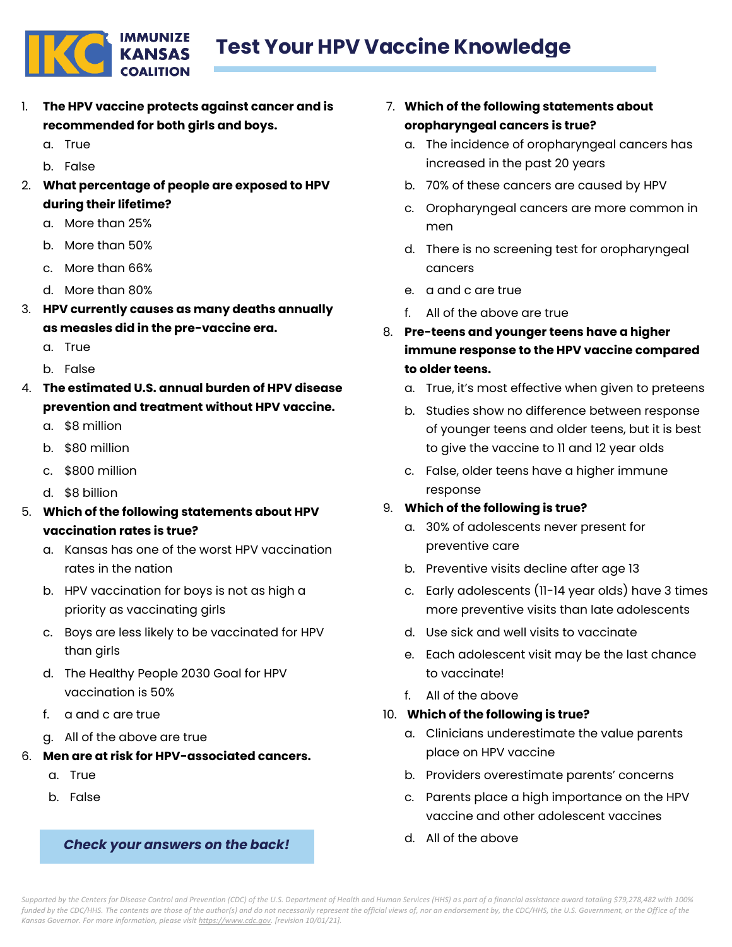

- 1. **The HPV vaccine protects against cancer and is recommended for both girls and boys.**
	- a. True
	- b. False
- 2. **What percentage of people are exposed to HPV during their lifetime?**
	- a. More than 25%
	- b. More than 50%
	- c. More than 66%
	- d. More than 80%
- 3. **HPV currently causes as many deaths annually as measles did in the pre-vaccine era.**
	- a. True
	- b. False
- 4. **The estimated U.S. annual burden of HPV disease prevention and treatment without HPV vaccine.**
	- a. \$8 million
	- b. \$80 million
	- c. \$800 million
	- d. \$8 billion
- 5. **Which of the following statements about HPV vaccination rates is true?**
	- a. Kansas has one of the worst HPV vaccination rates in the nation
	- b. HPV vaccination for boys is not as high a priority as vaccinating girls
	- c. Boys are less likely to be vaccinated for HPV than girls
	- d. The Healthy People 2030 Goal for HPV vaccination is 50%
	- f. a and c are true
	- g. All of the above are true
- 6. **Men are at risk for HPV-associated cancers.**
	- a. True
	- b. False

## *Check your answers on the back!*

- 7. **Which of the following statements about oropharyngeal cancers is true?**
	- a. The incidence of oropharyngeal cancers has increased in the past 20 years
	- b. 70% of these cancers are caused by HPV
	- c. Oropharyngeal cancers are more common in men
	- d. There is no screening test for oropharyngeal cancers
	- e. a and c are true
	- f. All of the above are true
- 8. **Pre-teens and younger teens have a higher immune response to the HPV vaccine compared to older teens.**
	- a. True, it's most effective when given to preteens
	- b. Studies show no difference between response of younger teens and older teens, but it is best to give the vaccine to 11 and 12 year olds
	- c. False, older teens have a higher immune response

## 9. **Which of the following is true?**

- a. 30% of adolescents never present for preventive care
- b. Preventive visits decline after age 13
- c. Early adolescents (11-14 year olds) have 3 times more preventive visits than late adolescents
- d. Use sick and well visits to vaccinate
- e. Each adolescent visit may be the last chance to vaccinate!
- f. All of the above

## 10. **Which of the following is true?**

- a. Clinicians underestimate the value parents place on HPV vaccine
- b. Providers overestimate parents' concerns
- c. Parents place a high importance on the HPV vaccine and other adolescent vaccines
- d. All of the above